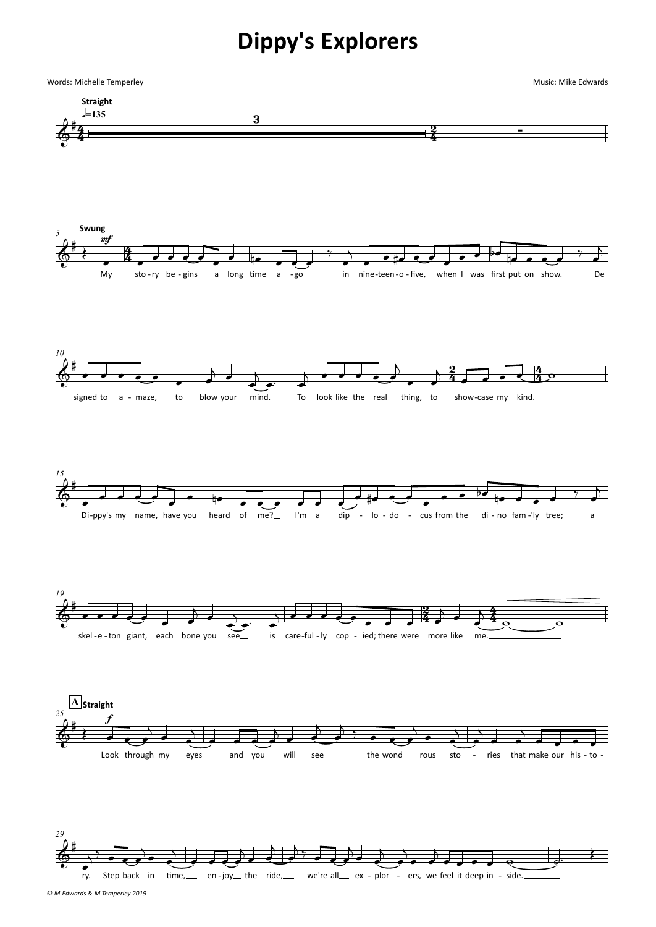## **Dippy's Explorers**



*© M.Edwards & M.Temperley 2019*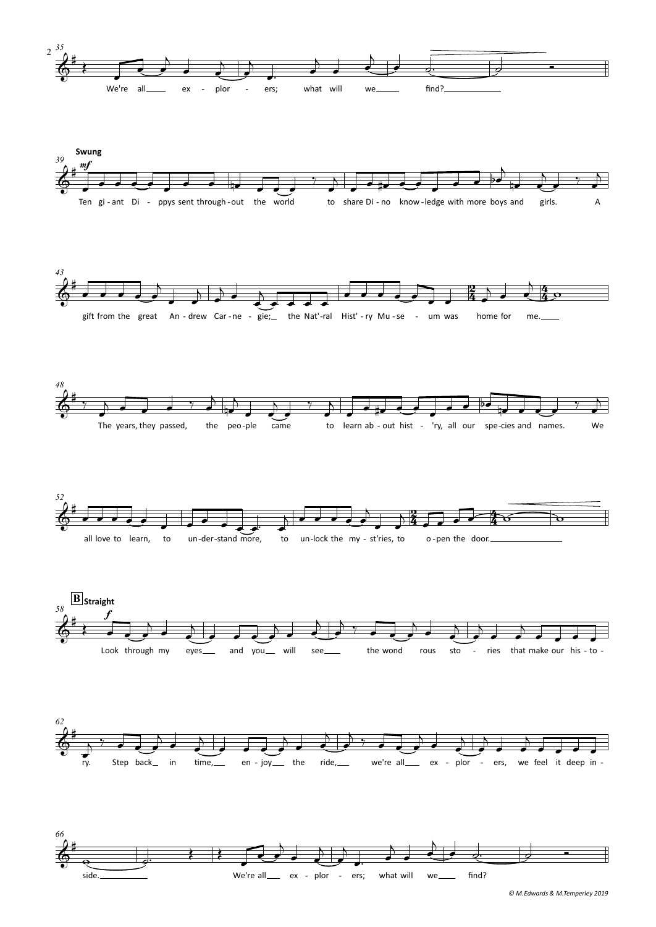

*<sup>©</sup> M.Edwards & M.Temperley 2019*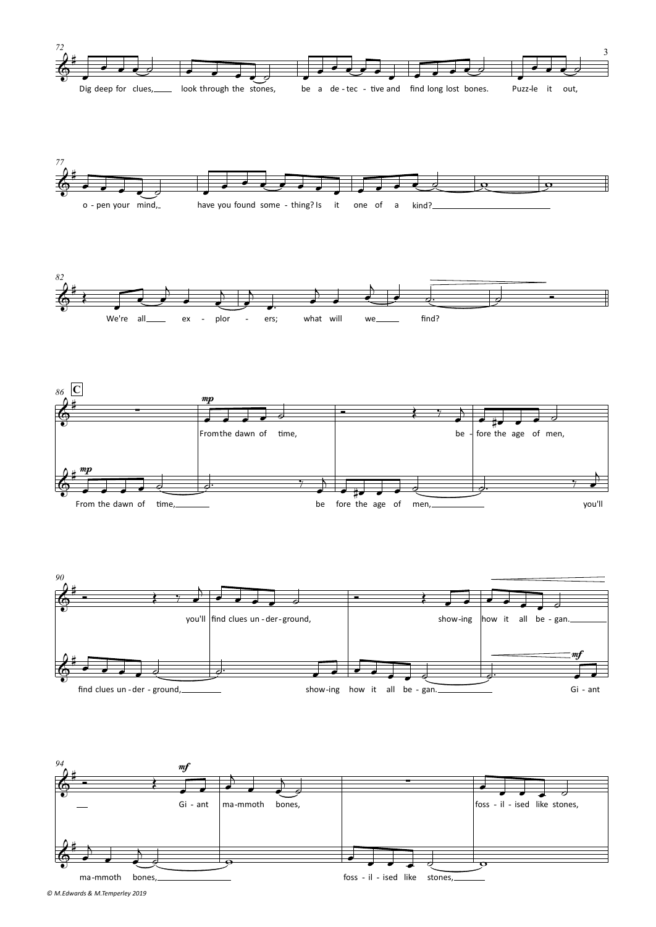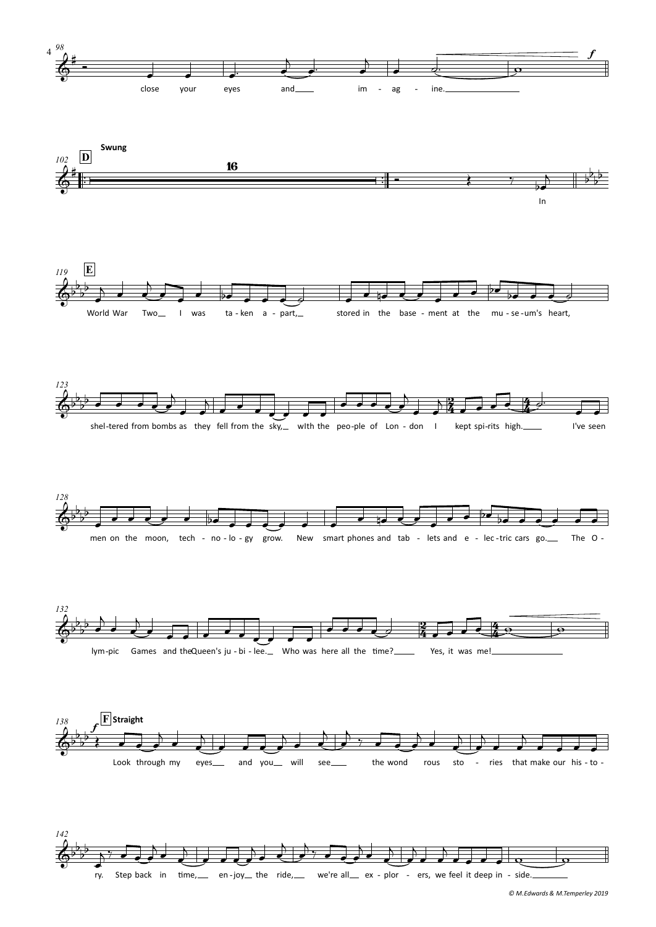